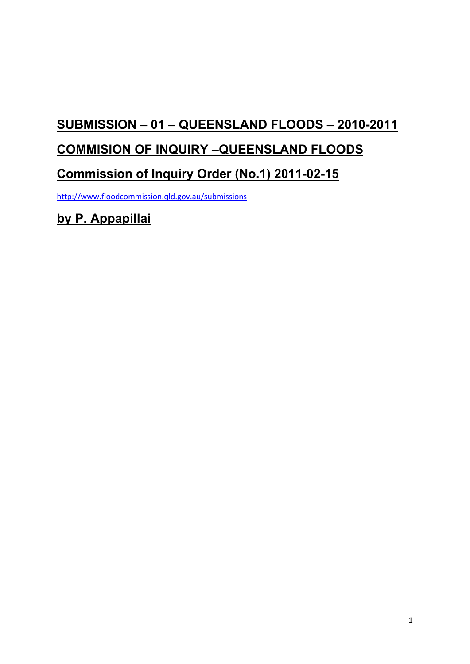# **SUBMISSION – 01 – QUEENSLAND FLOODS – 2010-2011**

## **COMMISION OF INQUIRY –QUEENSLAND FLOODS**

## **Commission of Inquiry Order (No.1) 2011-02-15**

<http://www.floodcommission.qld.gov.au/submissions>

**by P. Appapillai**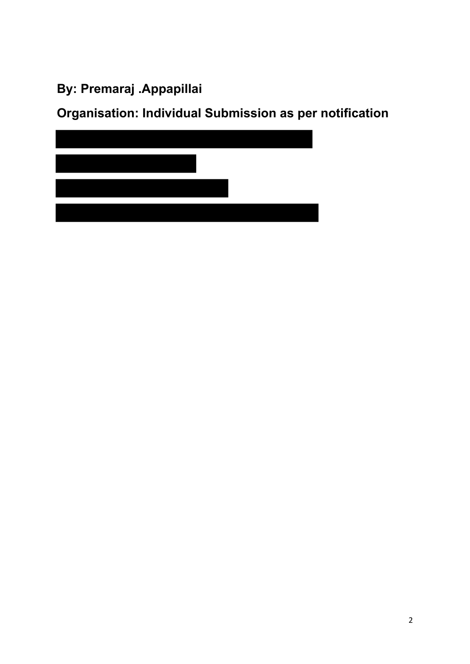# **By: Premaraj .Appapillai**

**Organisation: Individual Submission as per notification** 

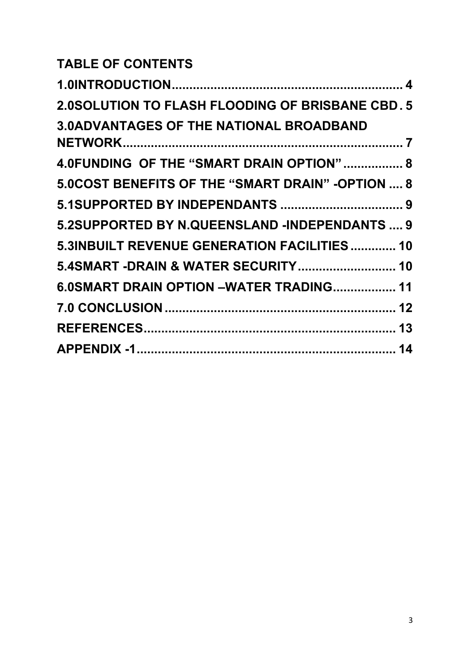# **TABLE OF CONTENTS**

| <b>2.0SOLUTION TO FLASH FLOODING OF BRISBANE CBD. 5</b> |  |
|---------------------------------------------------------|--|
| <b>3.0ADVANTAGES OF THE NATIONAL BROADBAND</b>          |  |
|                                                         |  |
| 4.0FUNDING OF THE "SMART DRAIN OPTION" 8                |  |
| 5.0 COST BENEFITS OF THE "SMART DRAIN" - OPTION , 8     |  |
|                                                         |  |
| 5.2SUPPORTED BY N.QUEENSLAND -INDEPENDANTS  9           |  |
| 5.3INBUILT REVENUE GENERATION FACILITIES 10             |  |
| 5.4SMART -DRAIN & WATER SECURITY 10                     |  |
| 6.0SMART DRAIN OPTION -WATER TRADING 11                 |  |
|                                                         |  |
|                                                         |  |
|                                                         |  |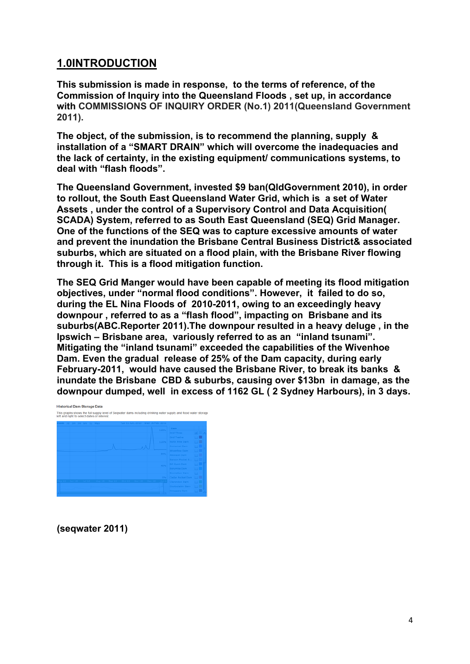#### <span id="page-3-0"></span>**1.0INTRODUCTION**

**This submission is made in response, to the terms of reference, of the Commission of Inquiry into the Queensland Floods , set up, in accordance with COMMISSIONS OF INQUIRY ORDER (No.1) 2011(Queensland Government 2011).** 

**The object, of the submission, is to recommend the planning, supply & installation of a "SMART DRAIN" which will overcome the inadequacies and the lack of certainty, in the existing equipment/ communications systems, to deal with "flash floods".** 

**The Queensland Government, invested \$9 ban(QldGovernment 2010), in order to rollout, the South East Queensland Water Grid, which is a set of Water Assets , under the control of a Supervisory Control and Data Acquisition( SCADA) System, referred to as South East Queensland (SEQ) Grid Manager. One of the functions of the SEQ was to capture excessive amounts of water and prevent the inundation the Brisbane Central Business District& associated suburbs, which are situated on a flood plain, with the Brisbane River flowing through it. This is a flood mitigation function.** 

**The SEQ Grid Manger would have been capable of meeting its flood mitigation objectives, under "normal flood conditions". However, it failed to do so, during the EL Nina Floods of 2010-2011, owing to an exceedingly heavy downpour , referred to as a "flash flood", impacting on Brisbane and its suburbs(ABC.Reporter 2011).The downpour resulted in a heavy deluge , in the Ipswich – Brisbane area, variously referred to as an "inland tsunami". Mitigating the "inland tsunami" exceeded the capabilities of the Wivenhoe Dam. Even the gradual release of 25% of the Dam capacity, during early February-2011, would have caused the Brisbane River, to break its banks & inundate the Brisbane CBD & suburbs, causing over \$13bn in damage, as the downpour dumped, well in excess of 1162 GL ( 2 Sydney Harbours), in 3 days.** 



**(seqwater 2011)**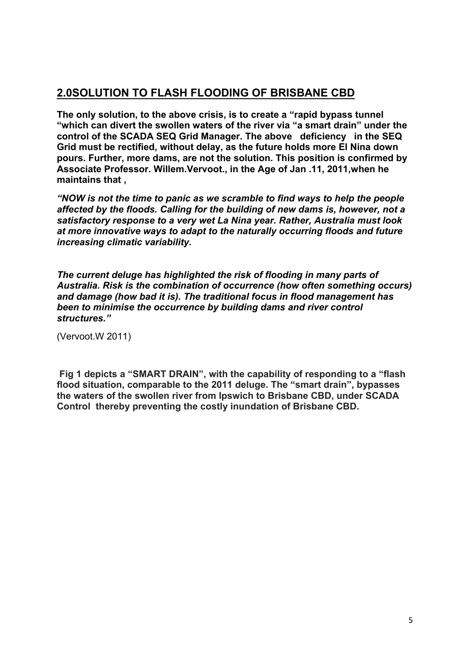#### <span id="page-4-0"></span>**2.0SOLUTION TO FLASH FLOODING OF BRISBANE CBD**

**The only solution, to the above crisis, is to create a "rapid bypass tunnel "which can divert the swollen waters of the river via "a smart drain" under the control of the SCADA SEQ Grid Manager. The above deficiency in the SEQ Grid must be rectified, without delay, as the future holds more El Nina down pours. Further, more dams, are not the solution. This position is confirmed by Associate Professor. Willem.Vervoot., in the Age of Jan .11, 2011,when he maintains that ,** 

*"NOW is not the time to panic as we scramble to find ways to help the people affected by the floods. Calling for the building of new dams is, however, not a satisfactory response to a very wet La Nina year. Rather, Australia must look at more innovative ways to adapt to the naturally occurring floods and future increasing climatic variability.* 

*The current deluge has highlighted the risk of flooding in many parts of Australia. Risk is the combination of occurrence (how often something occurs) and damage (how bad it is). The traditional focus in flood management has been to minimise the occurrence by building dams and river control structures."* 

(Vervoot.W 2011)

 **Fig 1 depicts a "SMART DRAIN", with the capability of responding to a "flash flood situation, comparable to the 2011 deluge. The "smart drain", bypasses the waters of the swollen river from Ipswich to Brisbane CBD, under SCADA Control thereby preventing the costly inundation of Brisbane CBD.**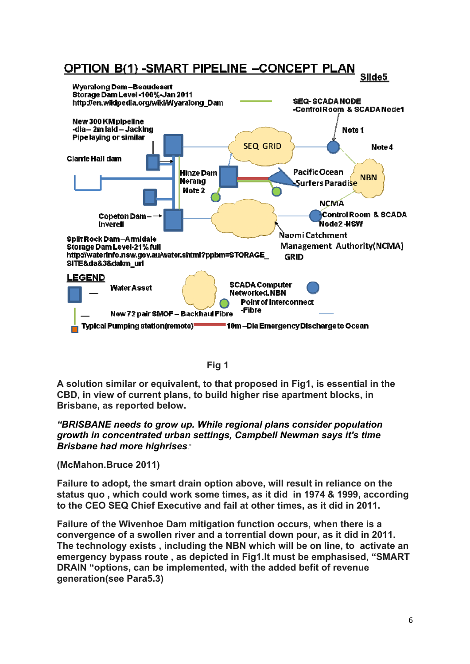



**A solution similar or equivalent, to that proposed in Fig1, is essential in the CBD, in view of current plans, to build higher rise apartment blocks, in Brisbane, as reported below.** 

*"BRISBANE needs to grow up. While regional plans consider population growth in concentrated urban settings, Campbell Newman says it's time Brisbane had more highrises*."

**(McMahon.Bruce 2011)** 

**Failure to adopt, the smart drain option above, will result in reliance on the status quo , which could work some times, as it did in 1974 & 1999, according to the CEO SEQ Chief Executive and fail at other times, as it did in 2011.** 

**Failure of the Wivenhoe Dam mitigation function occurs, when there is a convergence of a swollen river and a torrential down pour, as it did in 2011. The technology exists , including the NBN which will be on line, to activate an emergency bypass route , as depicted in Fig1.It must be emphasised, "SMART DRAIN "options, can be implemented, with the added befit of revenue generation(see Para5.3)**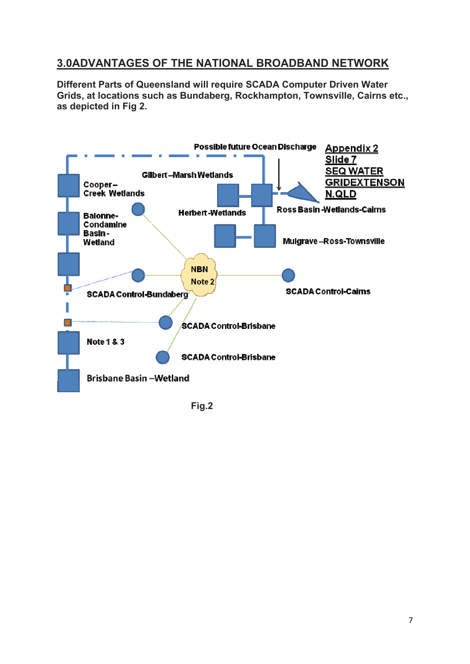#### <span id="page-6-0"></span>**3.0ADVANTAGES OF THE NATIONAL BROADBAND NETWORK**

**Different Parts of Queensland will require SCADA Computer Driven Water Grids, at locations such as Bundaberg, Rockhampton, Townsville, Cairns etc., as depicted in Fig 2.** 



 **Fig.2**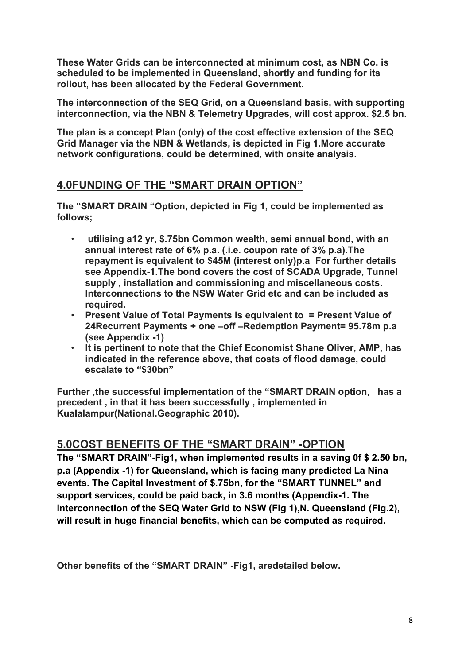**These Water Grids can be interconnected at minimum cost, as NBN Co. is scheduled to be implemented in Queensland, shortly and funding for its rollout, has been allocated by the Federal Government.** 

**The interconnection of the SEQ Grid, on a Queensland basis, with supporting interconnection, via the NBN & Telemetry Upgrades, will cost approx. \$2.5 bn.** 

**The plan is a concept Plan (only) of the cost effective extension of the SEQ Grid Manager via the NBN & Wetlands, is depicted in Fig 1.More accurate network configurations, could be determined, with onsite analysis.** 

#### <span id="page-7-0"></span>**4.0FUNDING OF THE "SMART DRAIN OPTION"**

**The "SMART DRAIN "Option, depicted in Fig 1, could be implemented as follows;** 

- **utilising a12 yr, \$.75bn Common wealth, semi annual bond, with an annual interest rate of 6% p.a. (.i.e. coupon rate of 3% p.a).The repayment is equivalent to \$45M (interest only)p.a For further details see Appendix-1.The bond covers the cost of SCADA Upgrade, Tunnel supply , installation and commissioning and miscellaneous costs. Interconnections to the NSW Water Grid etc and can be included as required.**
- **Present Value of Total Payments is equivalent to = Present Value of 24Recurrent Payments + one –off –Redemption Payment= 95.78m p.a (see Appendix -1)**
- **It is pertinent to note that the Chief Economist Shane Oliver, AMP, has indicated in the reference above, that costs of flood damage, could escalate to "\$30bn"**

**Further ,the successful implementation of the "SMART DRAIN option, has a precedent , in that it has been successfully , implemented in Kualalampur(National.Geographic 2010).** 

#### <span id="page-7-1"></span>**5.0COST BENEFITS OF THE "SMART DRAIN" -OPTION**

**The "SMART DRAIN"-Fig1, when implemented results in a saving 0f \$ 2.50 bn, p.a (Appendix -1) for Queensland, which is facing many predicted La Nina events. The Capital Investment of \$.75bn, for the "SMART TUNNEL" and support services, could be paid back, in 3.6 months (Appendix-1. The interconnection of the SEQ Water Grid to NSW (Fig 1),N. Queensland (Fig.2), will result in huge financial benefits, which can be computed as required.** 

**Other benefits of the "SMART DRAIN" -Fig1, aredetailed below.**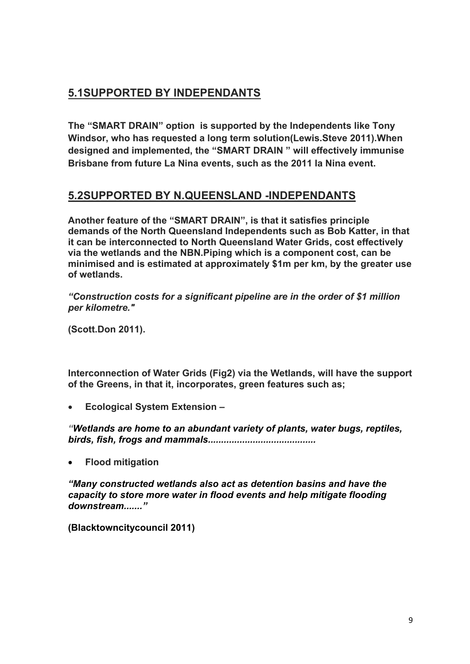### <span id="page-8-0"></span>**5.1SUPPORTED BY INDEPENDANTS**

**The "SMART DRAIN" option is supported by the Independents like Tony Windsor, who has requested a long term solution(Lewis.Steve 2011).When designed and implemented, the "SMART DRAIN " will effectively immunise Brisbane from future La Nina events, such as the 2011 la Nina event.** 

#### <span id="page-8-1"></span>**5.2SUPPORTED BY N.QUEENSLAND -INDEPENDANTS**

**Another feature of the "SMART DRAIN", is that it satisfies principle demands of the North Queensland Independents such as Bob Katter, in that it can be interconnected to North Queensland Water Grids, cost effectively via the wetlands and the NBN.Piping which is a component cost, can be minimised and is estimated at approximately \$1m per km, by the greater use of wetlands.** 

*"Construction costs for a significant pipeline are in the order of \$1 million per kilometre."* 

**(Scott.Don 2011).** 

**Interconnection of Water Grids (Fig2) via the Wetlands, will have the support of the Greens, in that it, incorporates, green features such as;** 

**Ecological System Extension –** 

*"Wetlands are home to an abundant variety of plants, water bugs, reptiles, birds, fish, frogs and mammals.........................................* 

**Flood mitigation**

*"Many constructed wetlands also act as detention basins and have the capacity to store more water in flood events and help mitigate flooding downstream......."* 

**(Blacktowncitycouncil 2011)**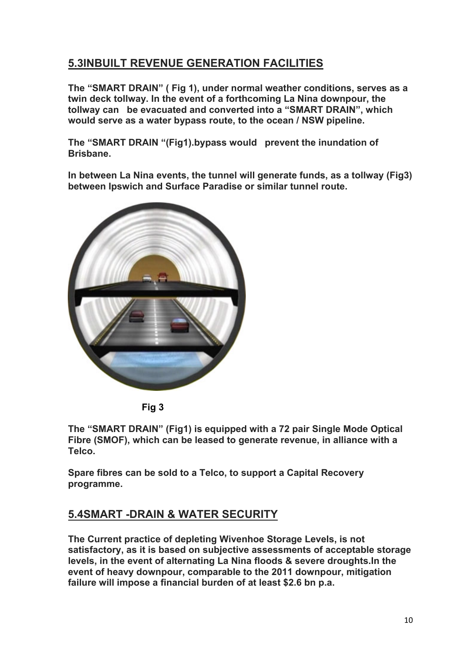### <span id="page-9-0"></span>**5.3INBUILT REVENUE GENERATION FACILITIES**

**The "SMART DRAIN" ( Fig 1), under normal weather conditions, serves as a twin deck tollway. In the event of a forthcoming La Nina downpour, the tollway can be evacuated and converted into a "SMART DRAIN", which would serve as a water bypass route, to the ocean / NSW pipeline.** 

**The "SMART DRAIN "(Fig1).bypass would prevent the inundation of Brisbane.** 

**In between La Nina events, the tunnel will generate funds, as a tollway (Fig3) between Ipswich and Surface Paradise or similar tunnel route.** 



 **Fig 3** 

**The "SMART DRAIN" (Fig1) is equipped with a 72 pair Single Mode Optical Fibre (SMOF), which can be leased to generate revenue, in alliance with a Telco.** 

**Spare fibres can be sold to a Telco, to support a Capital Recovery programme.** 

### <span id="page-9-1"></span>**5.4SMART -DRAIN & WATER SECURITY**

**The Current practice of depleting Wivenhoe Storage Levels, is not satisfactory, as it is based on subjective assessments of acceptable storage levels, in the event of alternating La Nina floods & severe droughts.In the event of heavy downpour, comparable to the 2011 downpour, mitigation failure will impose a financial burden of at least \$2.6 bn p.a.**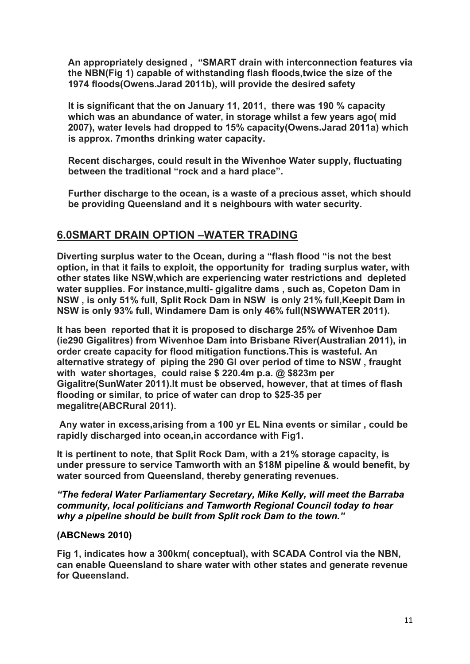**An appropriately designed , "SMART drain with interconnection features via the NBN(Fig 1) capable of withstanding flash floods,twice the size of the 1974 floods(Owens.Jarad 2011b), will provide the desired safety** 

**It is significant that the on January 11, 2011, there was 190 % capacity which was an abundance of water, in storage whilst a few years ago( mid 2007), water levels had dropped to 15% capacity(Owens.Jarad 2011a) which is approx. 7months drinking water capacity.** 

**Recent discharges, could result in the Wivenhoe Water supply, fluctuating between the traditional "rock and a hard place".** 

**Further discharge to the ocean, is a waste of a precious asset, which should be providing Queensland and it s neighbours with water security.** 

#### <span id="page-10-0"></span>**6.0SMART DRAIN OPTION –WATER TRADING**

**Diverting surplus water to the Ocean, during a "flash flood "is not the best option, in that it fails to exploit, the opportunity for trading surplus water, with other states like NSW,which are experiencing water restrictions and depleted water supplies. For instance,multi- gigalitre dams , such as, Copeton Dam in NSW , is only 51% full, Split Rock Dam in NSW is only 21% full,Keepit Dam in NSW is only 93% full, Windamere Dam is only 46% full(NSWWATER 2011).** 

**It has been reported that it is proposed to discharge 25% of Wivenhoe Dam (ie290 Gigalitres) from Wivenhoe Dam into Brisbane River(Australian 2011), in order create capacity for flood mitigation functions.This is wasteful. An alternative strategy of piping the 290 Gl over period of time to NSW , fraught with water shortages, could raise \$ 220.4m p.a. @ \$823m per Gigalitre(SunWater 2011).It must be observed, however, that at times of flash flooding or similar, to price of water can drop to \$25-35 per megalitre(ABCRural 2011).** 

 **Any water in excess,arising from a 100 yr EL Nina events or similar , could be rapidly discharged into ocean,in accordance with Fig1.** 

**It is pertinent to note, that Split Rock Dam, with a 21% storage capacity, is under pressure to service Tamworth with an \$18M pipeline & would benefit, by water sourced from Queensland, thereby generating revenues.** 

*"The federal Water Parliamentary Secretary, Mike Kelly, will meet the Barraba community, local politicians and Tamworth Regional Council today to hear why a pipeline should be built from Split rock Dam to the town."* 

#### **(ABCNews 2010)**

**Fig 1, indicates how a 300km( conceptual), with SCADA Control via the NBN, can enable Queensland to share water with other states and generate revenue for Queensland.**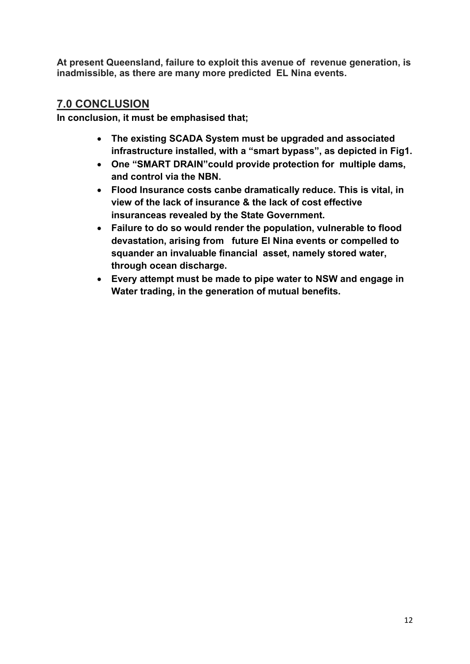**At present Queensland, failure to exploit this avenue of revenue generation, is inadmissible, as there are many more predicted EL Nina events.** 

#### <span id="page-11-0"></span>**7.0 CONCLUSION**

**In conclusion, it must be emphasised that;** 

- **The existing SCADA System must be upgraded and associated infrastructure installed, with a "smart bypass", as depicted in Fig1.**
- **One "SMART DRAIN"could provide protection for multiple dams, and control via the NBN.**
- **Flood Insurance costs canbe dramatically reduce. This is vital, in view of the lack of insurance & the lack of cost effective insuranceas revealed by the State Government.**
- **Failure to do so would render the population, vulnerable to flood devastation, arising from future El Nina events or compelled to squander an invaluable financial asset, namely stored water, through ocean discharge.**
- **Every attempt must be made to pipe water to NSW and engage in Water trading, in the generation of mutual benefits.**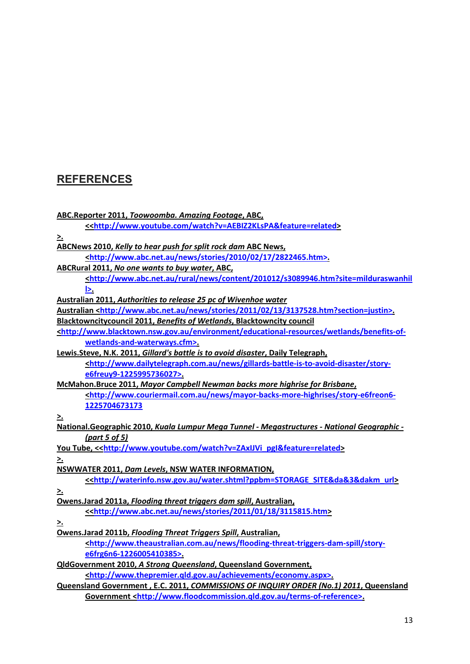## <span id="page-12-0"></span>**REFERENCES**

| ABC.Reporter 2011, Toowoomba. Amazing Footage, ABC,                                                                    |
|------------------------------------------------------------------------------------------------------------------------|
| < <http: watch?v="AEBIZ2KLsPA&amp;feature=related" www.youtube.com=""></http:>                                         |
| ≥.                                                                                                                     |
| <b>ABCNews 2010, Kelly to hear push for split rock dam ABC News,</b>                                                   |
| <http: 02="" 17="" 2010="" 2822465.htm="" news="" stories="" www.abc.net.au="">.</http:>                               |
| ABCRural 2011, No one wants to buy water, ABC,                                                                         |
| <http: 201012="" content="" news="" rural="" s3089946.htm?site="milduraswanhil&lt;/td" www.abc.net.au=""></http:>      |
| <u>l&gt;.</u>                                                                                                          |
| Australian 2011, Authorities to release 25 pc of Wivenhoe water                                                        |
| Australian <http: 02="" 13="" 2011="" 3137528.htm?section="justin" news="" stories="" www.abc.net.au="">.</http:>      |
| Blacktowncitycouncil 2011, Benefits of Wetlands, Blacktowncity council                                                 |
| <http: benefits-of-<="" educational-resources="" environment="" td="" wetlands="" www.blacktown.nsw.gov.au=""></http:> |
| wetlands-and-waterways.cfm>.                                                                                           |
| Lewis.Steve, N.K. 2011, Gillard's battle is to avoid disaster, Daily Telegraph,                                        |
| <http: gillards-battle-is-to-avoid-disaster="" news="" story-<="" td="" www.dailytelegraph.com.au=""></http:>          |
| e6freuy9-1225995736027>.                                                                                               |
| McMahon.Bruce 2011, Mayor Campbell Newman backs more highrise for Brisbane,                                            |
| <u><http: mayor-backs-more-highrises="" news="" story-e6freon6-<="" u="" www.couriermail.com.au=""></http:></u>        |
| 1225704673173                                                                                                          |
| <u>&gt;.</u>                                                                                                           |
| National.Geographic 2010, Kuala Lumpur Mega Tunnel - Megastructures - National Geographic -                            |
| (part 5 of 5)                                                                                                          |
| You Tube, < <http: watch?v="ZAxIJVi_pgl&amp;feature=related" www.youtube.com=""></http:>                               |
| ≥.                                                                                                                     |
| <b>NSWWATER 2011, Dam Levels, NSW WATER INFORMATION,</b>                                                               |
| < <http: water.shtml?ppbm="STORAGE_SITE&amp;da&amp;3&amp;dakm_url" waterinfo.nsw.gov.au=""></http:>                    |
| <u>&gt;.</u>                                                                                                           |
| Owens.Jarad 2011a, Flooding threat triggers dam spill, Australian,                                                     |
| < <http: 01="" 18="" 2011="" 3115815.htm="" news="" stories="" www.abc.net.au=""></http:>                              |
| <u>&gt;.</u>                                                                                                           |
| Owens.Jarad 2011b, Flooding Threat Triggers Spill, Australian,                                                         |
| <http: flooding-threat-triggers-dam-spill="" news="" story-<="" td="" www.theaustralian.com.au=""></http:>             |
| e6frg6n6-1226005410385>.                                                                                               |
| <b>QldGovernment 2010, A Strong Queensland, Queensland Government,</b>                                                 |
| <http: achievements="" economy.aspx="" www.thepremier.gld.gov.au="">.</http:>                                          |
| Queensland Government, E.C. 2011, COMMISSIONS OF INQUIRY ORDER (No.1) 2011, Queensland                                 |
| Government <http: terms-of-reference="" www.floodcommission.gld.gov.au="">.</http:>                                    |
|                                                                                                                        |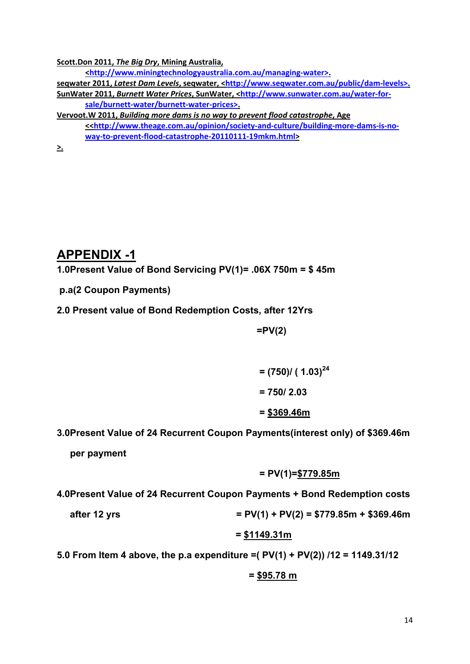**Scott.Don 2011,** *The Big Dry***, Mining Australia,**

**[<http://www.miningtechnologyaustralia.com.au/managing](http://www.miningtechnologyaustralia.com.au/managing-water%3e)‐water>.**

**seqwater 2011,** *Latest Dam Levels***, seqwater, <[http://www.seqwater.com.au/public/dam](http://www.seqwater.com.au/public/dam-levels%3e)‐levels>. SunWater 2011,** *Burnett Water Prices***, SunWater, <[http://www.sunwater.com.au/water](http://www.sunwater.com.au/water-for-sale/burnett-water/burnett-water-prices%3e)‐for‐ sale/burnett‐[water/burnett](http://www.sunwater.com.au/water-for-sale/burnett-water/burnett-water-prices%3e)‐water‐prices>.**

**Vervoot.W 2011,** *Building more dams is no way to prevent flood catastrophe***, Age <<[http://www.theage.com.au/opinion/society](http://www.theage.com.au/opinion/society-and-culture/building-more-dams-is-no-way-to-prevent-flood-catastrophe-20110111-19mkm.html)‐and‐culture/building‐more‐dams‐is‐no‐ way‐to‐prevent‐flood‐catastrophe‐20110111‐[19mkm.html](http://www.theage.com.au/opinion/society-and-culture/building-more-dams-is-no-way-to-prevent-flood-catastrophe-20110111-19mkm.html)>**

**>.**

## <span id="page-13-0"></span>**APPENDIX -1**

**1.0Present Value of Bond Servicing PV(1)= .06X 750m = \$ 45m** 

- **p.a(2 Coupon Payments)**
- **2.0 Present value of Bond Redemption Costs, after 12Yrs**

 **=PV(2)** 

$$
= (750) / (1.03)^{24}
$$

$$
= 750 / 2.03
$$

$$
= \underline{$369.46m}
$$

#### **3.0Present Value of 24 Recurrent Coupon Payments(interest only) of \$369.46m**

 **per payment** 

$$
= PV(1)=\frac{$779.85m}{
$$

#### **4.0Present Value of 24 Recurrent Coupon Payments + Bond Redemption costs**

after 12 yrs 
$$
= PV(1) + PV(2) = $779.85m + $369.46m
$$

$$
= $1149.31m
$$

**5.0 From Item 4 above, the p.a expenditure =( PV(1) + PV(2)) /12 = 1149.31/12** 

$$
= $95.78 \text{ m}
$$